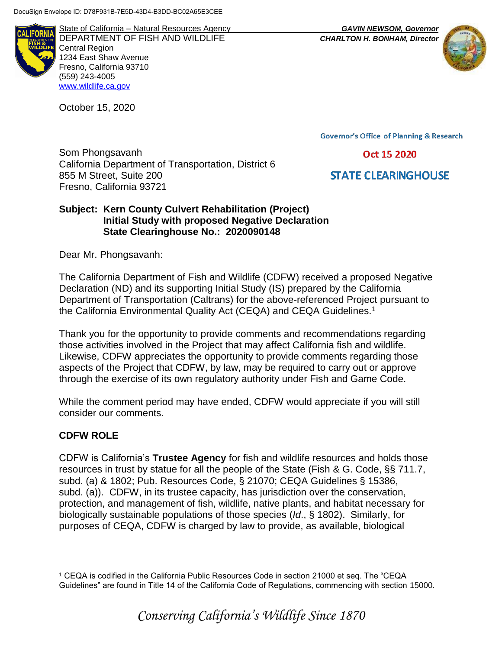ALIFORNIA

State of California – Natural Resources Agency *GAVIN NEWSOM, Governor* DEPARTMENT OF FISH AND WILDLIFE *CHARLTON H. BONHAM, Director*  Central Region 1234 East Shaw Avenue Fresno, California 93710 (559) 243-4005 [www.wildlife.ca.gov](http://www.cdfw.ca.gov/)

October 15, 2020



**Governor's Office of Planning & Research** 

Oct 15 2020

Som Phongsavanh California Department of Transportation, District 6 855 M Street, Suite 200 Fresno, California 93721

**STATE CLEARINGHOUSE** 

## **Subject: Kern County Culvert Rehabilitation (Project) Initial Study with proposed Negative Declaration State Clearinghouse No.: 2020090148**

Dear Mr. Phongsavanh:

The California Department of Fish and Wildlife (CDFW) received a proposed Negative Declaration (ND) and its supporting Initial Study (IS) prepared by the California Department of Transportation (Caltrans) for the above-referenced Project pursuant to the California Environmental Quality Act (CEQA) and CEQA Guidelines.<sup>1</sup>

Thank you for the opportunity to provide comments and recommendations regarding those activities involved in the Project that may affect California fish and wildlife. Likewise, CDFW appreciates the opportunity to provide comments regarding those aspects of the Project that CDFW, by law, may be required to carry out or approve through the exercise of its own regulatory authority under Fish and Game Code.

While the comment period may have ended, CDFW would appreciate if you will still consider our comments.

# **CDFW ROLE**

 $\overline{a}$ 

CDFW is California's **Trustee Agency** for fish and wildlife resources and holds those resources in trust by statue for all the people of the State (Fish & G. Code, §§ 711.7, subd. (a) & 1802; Pub. Resources Code, § 21070; CEQA Guidelines § 15386, subd. (a)). CDFW, in its trustee capacity, has jurisdiction over the conservation, protection, and management of fish, wildlife, native plants, and habitat necessary for biologically sustainable populations of those species (*Id*., § 1802). Similarly, for purposes of CEQA, CDFW is charged by law to provide, as available, biological

<sup>1</sup> CEQA is codified in the California Public Resources Code in section 21000 et seq. The "CEQA Guidelines" are found in Title 14 of the California Code of Regulations, commencing with section 15000.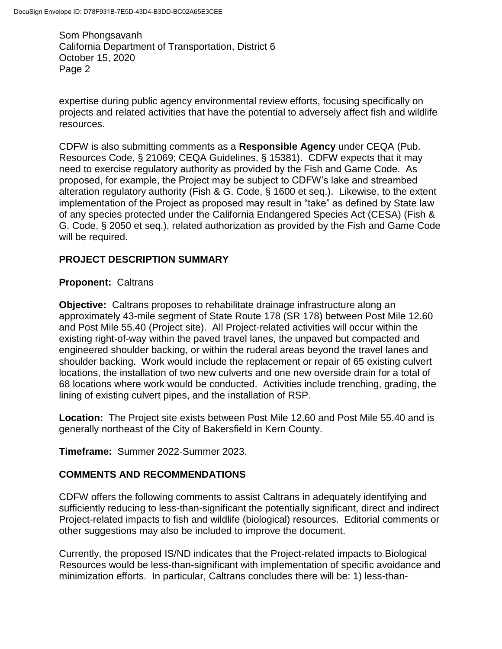expertise during public agency environmental review efforts, focusing specifically on projects and related activities that have the potential to adversely affect fish and wildlife resources.

CDFW is also submitting comments as a **Responsible Agency** under CEQA (Pub. Resources Code, § 21069; CEQA Guidelines, § 15381). CDFW expects that it may need to exercise regulatory authority as provided by the Fish and Game Code. As proposed, for example, the Project may be subject to CDFW's lake and streambed alteration regulatory authority (Fish & G. Code, § 1600 et seq.). Likewise, to the extent implementation of the Project as proposed may result in "take" as defined by State law of any species protected under the California Endangered Species Act (CESA) (Fish & G. Code, § 2050 et seq.), related authorization as provided by the Fish and Game Code will be required.

## **PROJECT DESCRIPTION SUMMARY**

#### **Proponent:** Caltrans

**Objective:** Caltrans proposes to rehabilitate drainage infrastructure along an approximately 43-mile segment of State Route 178 (SR 178) between Post Mile 12.60 and Post Mile 55.40 (Project site). All Project-related activities will occur within the existing right-of-way within the paved travel lanes, the unpaved but compacted and engineered shoulder backing, or within the ruderal areas beyond the travel lanes and shoulder backing. Work would include the replacement or repair of 65 existing culvert locations, the installation of two new culverts and one new overside drain for a total of 68 locations where work would be conducted. Activities include trenching, grading, the lining of existing culvert pipes, and the installation of RSP.

**Location:** The Project site exists between Post Mile 12.60 and Post Mile 55.40 and is generally northeast of the City of Bakersfield in Kern County.

**Timeframe:** Summer 2022-Summer 2023.

#### **COMMENTS AND RECOMMENDATIONS**

CDFW offers the following comments to assist Caltrans in adequately identifying and sufficiently reducing to less-than-significant the potentially significant, direct and indirect Project-related impacts to fish and wildlife (biological) resources. Editorial comments or other suggestions may also be included to improve the document.

Currently, the proposed IS/ND indicates that the Project-related impacts to Biological Resources would be less-than-significant with implementation of specific avoidance and minimization efforts. In particular, Caltrans concludes there will be: 1) less-than-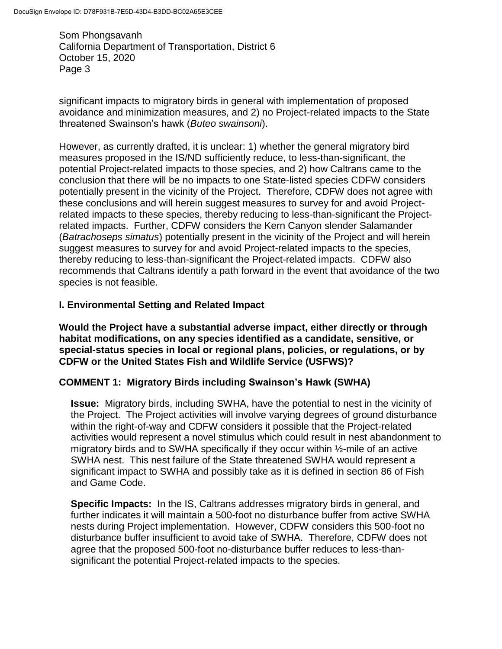significant impacts to migratory birds in general with implementation of proposed avoidance and minimization measures, and 2) no Project-related impacts to the State threatened Swainson's hawk (*Buteo swainsoni*).

However, as currently drafted, it is unclear: 1) whether the general migratory bird measures proposed in the IS/ND sufficiently reduce, to less-than-significant, the potential Project-related impacts to those species, and 2) how Caltrans came to the conclusion that there will be no impacts to one State-listed species CDFW considers potentially present in the vicinity of the Project. Therefore, CDFW does not agree with these conclusions and will herein suggest measures to survey for and avoid Projectrelated impacts to these species, thereby reducing to less-than-significant the Projectrelated impacts. Further, CDFW considers the Kern Canyon slender Salamander (*Batrachoseps simatus*) potentially present in the vicinity of the Project and will herein suggest measures to survey for and avoid Project-related impacts to the species, thereby reducing to less-than-significant the Project-related impacts. CDFW also recommends that Caltrans identify a path forward in the event that avoidance of the two species is not feasible.

## **I. Environmental Setting and Related Impact**

**Would the Project have a substantial adverse impact, either directly or through habitat modifications, on any species identified as a candidate, sensitive, or special-status species in local or regional plans, policies, or regulations, or by CDFW or the United States Fish and Wildlife Service (USFWS)?**

#### **COMMENT 1: Migratory Birds including Swainson's Hawk (SWHA)**

**Issue:** Migratory birds, including SWHA, have the potential to nest in the vicinity of the Project. The Project activities will involve varying degrees of ground disturbance within the right-of-way and CDFW considers it possible that the Project-related activities would represent a novel stimulus which could result in nest abandonment to migratory birds and to SWHA specifically if they occur within ½-mile of an active SWHA nest. This nest failure of the State threatened SWHA would represent a significant impact to SWHA and possibly take as it is defined in section 86 of Fish and Game Code.

**Specific Impacts:** In the IS, Caltrans addresses migratory birds in general, and further indicates it will maintain a 500-foot no disturbance buffer from active SWHA nests during Project implementation. However, CDFW considers this 500-foot no disturbance buffer insufficient to avoid take of SWHA. Therefore, CDFW does not agree that the proposed 500-foot no-disturbance buffer reduces to less-thansignificant the potential Project-related impacts to the species.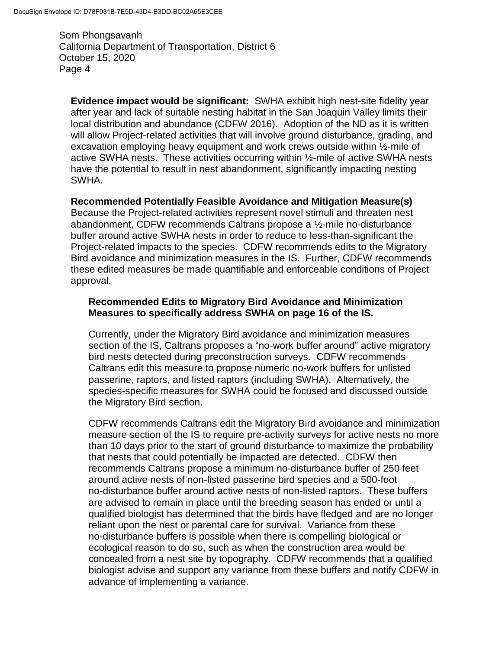**Evidence impact would be significant:** SWHA exhibit high nest-site fidelity year after year and lack of suitable nesting habitat in the San Joaquin Valley limits their local distribution and abundance (CDFW 2016). Adoption of the ND as it is written will allow Project-related activities that will involve ground disturbance, grading, and excavation employing heavy equipment and work crews outside within ½-mile of active SWHA nests. These activities occurring within ½-mile of active SWHA nests have the potential to result in nest abandonment, significantly impacting nesting SWHA.

#### **Recommended Potentially Feasible Avoidance and Mitigation Measure(s)**

Because the Project-related activities represent novel stimuli and threaten nest abandonment, CDFW recommends Caltrans propose a ½-mile no-disturbance buffer around active SWHA nests in order to reduce to less-than-significant the Project-related impacts to the species. CDFW recommends edits to the Migratory Bird avoidance and minimization measures in the IS. Further, CDFW recommends these edited measures be made quantifiable and enforceable conditions of Project approval.

#### **Recommended Edits to Migratory Bird Avoidance and Minimization Measures to specifically address SWHA on page 16 of the IS.**

Currently, under the Migratory Bird avoidance and minimization measures section of the IS, Caltrans proposes a "no-work buffer around" active migratory bird nests detected during preconstruction surveys. CDFW recommends Caltrans edit this measure to propose numeric no-work buffers for unlisted passerine, raptors, and listed raptors (including SWHA). Alternatively, the species-specific measures for SWHA could be focused and discussed outside the Migratory Bird section.

CDFW recommends Caltrans edit the Migratory Bird avoidance and minimization measure section of the IS to require pre-activity surveys for active nests no more than 10 days prior to the start of ground disturbance to maximize the probability that nests that could potentially be impacted are detected. CDFW then recommends Caltrans propose a minimum no-disturbance buffer of 250 feet around active nests of non-listed passerine bird species and a 500-foot no-disturbance buffer around active nests of non-listed raptors. These buffers are advised to remain in place until the breeding season has ended or until a qualified biologist has determined that the birds have fledged and are no longer reliant upon the nest or parental care for survival. Variance from these no-disturbance buffers is possible when there is compelling biological or ecological reason to do so, such as when the construction area would be concealed from a nest site by topography. CDFW recommends that a qualified biologist advise and support any variance from these buffers and notify CDFW in advance of implementing a variance.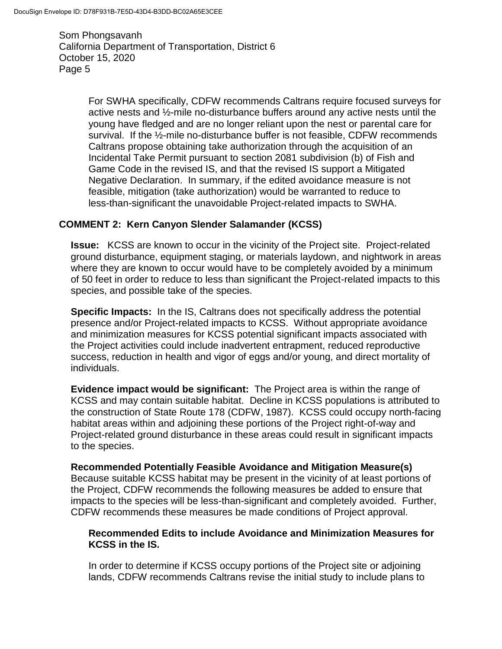> For SWHA specifically, CDFW recommends Caltrans require focused surveys for active nests and ½-mile no-disturbance buffers around any active nests until the young have fledged and are no longer reliant upon the nest or parental care for survival. If the ½-mile no-disturbance buffer is not feasible, CDFW recommends Caltrans propose obtaining take authorization through the acquisition of an Incidental Take Permit pursuant to section 2081 subdivision (b) of Fish and Game Code in the revised IS, and that the revised IS support a Mitigated Negative Declaration. In summary, if the edited avoidance measure is not feasible, mitigation (take authorization) would be warranted to reduce to less-than-significant the unavoidable Project-related impacts to SWHA.

#### **COMMENT 2: Kern Canyon Slender Salamander (KCSS)**

**Issue:** KCSS are known to occur in the vicinity of the Project site. Project-related ground disturbance, equipment staging, or materials laydown, and nightwork in areas where they are known to occur would have to be completely avoided by a minimum of 50 feet in order to reduce to less than significant the Project-related impacts to this species, and possible take of the species.

**Specific Impacts:** In the IS, Caltrans does not specifically address the potential presence and/or Project-related impacts to KCSS. Without appropriate avoidance and minimization measures for KCSS potential significant impacts associated with the Project activities could include inadvertent entrapment, reduced reproductive success, reduction in health and vigor of eggs and/or young, and direct mortality of individuals.

**Evidence impact would be significant:** The Project area is within the range of KCSS and may contain suitable habitat. Decline in KCSS populations is attributed to the construction of State Route 178 (CDFW, 1987). KCSS could occupy north-facing habitat areas within and adjoining these portions of the Project right-of-way and Project-related ground disturbance in these areas could result in significant impacts to the species.

**Recommended Potentially Feasible Avoidance and Mitigation Measure(s)** Because suitable KCSS habitat may be present in the vicinity of at least portions of the Project, CDFW recommends the following measures be added to ensure that impacts to the species will be less-than-significant and completely avoided. Further, CDFW recommends these measures be made conditions of Project approval.

#### **Recommended Edits to include Avoidance and Minimization Measures for KCSS in the IS.**

In order to determine if KCSS occupy portions of the Project site or adjoining lands, CDFW recommends Caltrans revise the initial study to include plans to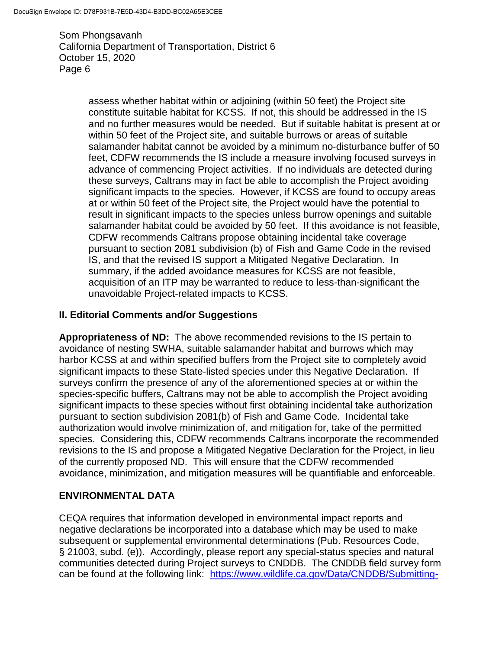> assess whether habitat within or adjoining (within 50 feet) the Project site constitute suitable habitat for KCSS. If not, this should be addressed in the IS and no further measures would be needed. But if suitable habitat is present at or within 50 feet of the Project site, and suitable burrows or areas of suitable salamander habitat cannot be avoided by a minimum no-disturbance buffer of 50 feet, CDFW recommends the IS include a measure involving focused surveys in advance of commencing Project activities. If no individuals are detected during these surveys, Caltrans may in fact be able to accomplish the Project avoiding significant impacts to the species. However, if KCSS are found to occupy areas at or within 50 feet of the Project site, the Project would have the potential to result in significant impacts to the species unless burrow openings and suitable salamander habitat could be avoided by 50 feet. If this avoidance is not feasible, CDFW recommends Caltrans propose obtaining incidental take coverage pursuant to section 2081 subdivision (b) of Fish and Game Code in the revised IS, and that the revised IS support a Mitigated Negative Declaration. In summary, if the added avoidance measures for KCSS are not feasible, acquisition of an ITP may be warranted to reduce to less-than-significant the unavoidable Project-related impacts to KCSS.

## **II. Editorial Comments and/or Suggestions**

**Appropriateness of ND:** The above recommended revisions to the IS pertain to avoidance of nesting SWHA, suitable salamander habitat and burrows which may harbor KCSS at and within specified buffers from the Project site to completely avoid significant impacts to these State-listed species under this Negative Declaration. If surveys confirm the presence of any of the aforementioned species at or within the species-specific buffers, Caltrans may not be able to accomplish the Project avoiding significant impacts to these species without first obtaining incidental take authorization pursuant to section subdivision 2081(b) of Fish and Game Code. Incidental take authorization would involve minimization of, and mitigation for, take of the permitted species. Considering this, CDFW recommends Caltrans incorporate the recommended revisions to the IS and propose a Mitigated Negative Declaration for the Project, in lieu of the currently proposed ND. This will ensure that the CDFW recommended avoidance, minimization, and mitigation measures will be quantifiable and enforceable.

# **ENVIRONMENTAL DATA**

CEQA requires that information developed in environmental impact reports and negative declarations be incorporated into a database which may be used to make subsequent or supplemental environmental determinations (Pub. Resources Code, § 21003, subd. (e)). Accordingly, please report any special-status species and natural communities detected during Project surveys to CNDDB. The CNDDB field survey form can be found at the following link: [https://www.wildlife.ca.gov/Data/CNDDB/Submitting-](https://www.wildlife.ca.gov/Data/CNDDB/Submitting-Data)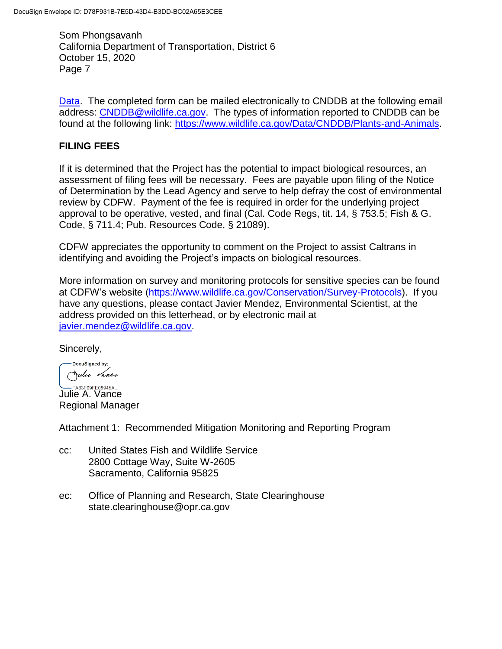[Data.](https://www.wildlife.ca.gov/Data/CNDDB/Submitting-Data) The completed form can be mailed electronically to CNDDB at the following email address: [CNDDB@wildlife.ca.gov.](mailto:CNDDB@wildlife.ca.gov) The types of information reported to CNDDB can be found at the following link: [https://www.wildlife.ca.gov/Data/CNDDB/Plants-and-Animals.](https://www.wildlife.ca.gov/Data/CNDDB/Plants-and-Animals)

#### **FILING FEES**

If it is determined that the Project has the potential to impact biological resources, an assessment of filing fees will be necessary. Fees are payable upon filing of the Notice of Determination by the Lead Agency and serve to help defray the cost of environmental review by CDFW. Payment of the fee is required in order for the underlying project approval to be operative, vested, and final (Cal. Code Regs, tit. 14, § 753.5; Fish & G. Code, § 711.4; Pub. Resources Code, § 21089).

CDFW appreciates the opportunity to comment on the Project to assist Caltrans in identifying and avoiding the Project's impacts on biological resources.

More information on survey and monitoring protocols for sensitive species can be found at CDFW's website [\(https://www.wildlife.ca.gov/Conservation/Survey-Protocols\)](https://www.wildlife.ca.gov/Conservation/Survey-Protocols). If you have any questions, please contact Javier Mendez, Environmental Scientist, at the address provided on this letterhead, or by electronic mail at [javier.mendez@wildlife.ca.gov.](mailto:javier.mendez@wildlife.ca.gov)

Sincerely,

DocuSigned by: Julie Vance

**LARSTOSFE08945A...**<br>Julie A. Vance Regional Manager

Attachment 1: Recommended Mitigation Monitoring and Reporting Program

- cc: United States Fish and Wildlife Service 2800 Cottage Way, Suite W-2605 Sacramento, California 95825
- ec: Office of Planning and Research, State Clearinghouse state.clearinghouse@opr.ca.gov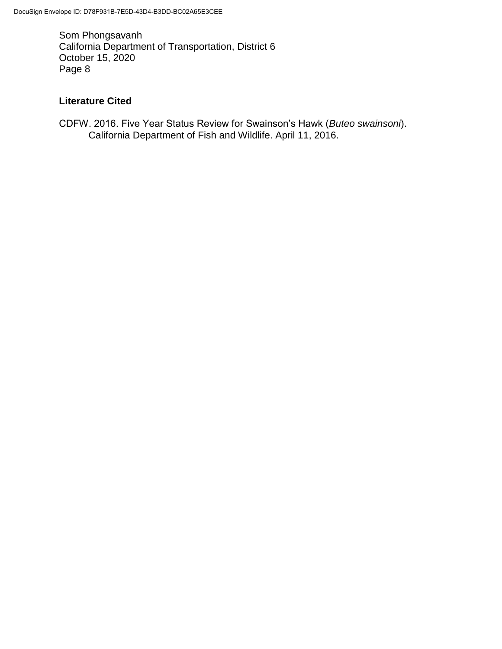# **Literature Cited**

CDFW. 2016. Five Year Status Review for Swainson's Hawk (*Buteo swainsoni*). California Department of Fish and Wildlife. April 11, 2016.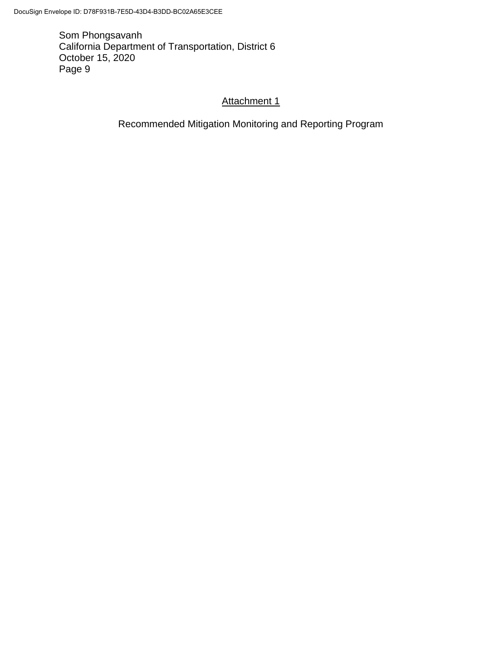# Attachment 1

Recommended Mitigation Monitoring and Reporting Program